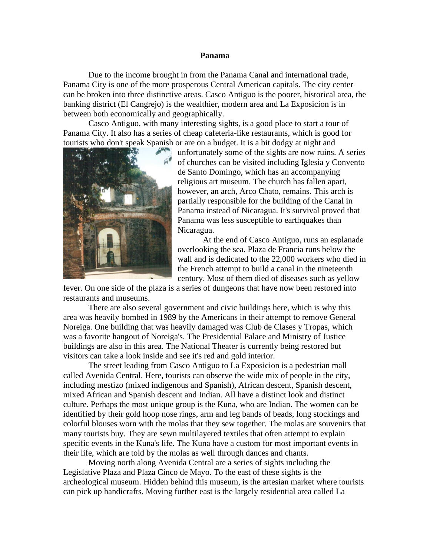## **Panama**

Due to the income brought in from the Panama Canal and international trade, Panama City is one of the more prosperous Central American capitals. The city center can be broken into three distinctive areas. Casco Antiguo is the poorer, historical area, the banking district (El Cangrejo) is the wealthier, modern area and La Exposicion is in between both economically and geographically.

Casco Antiguo, with many interesting sights, is a good place to start a tour of Panama City. It also has a series of cheap cafeteria-like restaurants, which is good for tourists who don't speak Spanish or are on a budget. It is a bit dodgy at night and



unfortunately some of the sights are now ruins. A series of churches can be visited including Iglesia y Convento de Santo Domingo, which has an accompanying religious art museum. The church has fallen apart, however, an arch, Arco Chato, remains. This arch is partially responsible for the building of the Canal in Panama instead of Nicaragua. It's survival proved that Panama was less susceptible to earthquakes than Nicaragua.

At the end of Casco Antiguo, runs an esplanade overlooking the sea. Plaza de Francia runs below the wall and is dedicated to the 22,000 workers who died in the French attempt to build a canal in the nineteenth century. Most of them died of diseases such as yellow

fever. On one side of the plaza is a series of dungeons that have now been restored into restaurants and museums.

There are also several government and civic buildings here, which is why this area was heavily bombed in 1989 by the Americans in their attempt to remove General Noreiga. One building that was heavily damaged was Club de Clases y Tropas, which was a favorite hangout of Noreiga's. The Presidential Palace and Ministry of Justice buildings are also in this area. The National Theater is currently being restored but visitors can take a look inside and see it's red and gold interior.

The street leading from Casco Antiguo to La Exposicion is a pedestrian mall called Avenida Central. Here, tourists can observe the wide mix of people in the city, including mestizo (mixed indigenous and Spanish), African descent, Spanish descent, mixed African and Spanish descent and Indian. All have a distinct look and distinct culture. Perhaps the most unique group is the Kuna, who are Indian. The women can be identified by their gold hoop nose rings, arm and leg bands of beads, long stockings and colorful blouses worn with the molas that they sew together. The molas are souvenirs that many tourists buy. They are sewn multilayered textiles that often attempt to explain specific events in the Kuna's life. The Kuna have a custom for most important events in their life, which are told by the molas as well through dances and chants.

Moving north along Avenida Central are a series of sights including the Legislative Plaza and Plaza Cinco de Mayo. To the east of these sights is the archeological museum. Hidden behind this museum, is the artesian market where tourists can pick up handicrafts. Moving further east is the largely residential area called La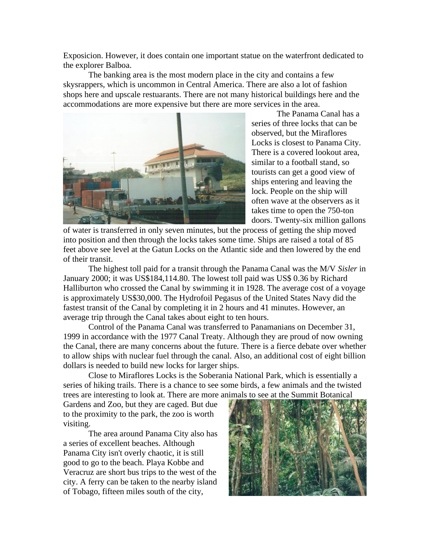Exposicion. However, it does contain one important statue on the waterfront dedicated to the explorer Balboa.

The banking area is the most modern place in the city and contains a few skysrappers, which is uncommon in Central America. There are also a lot of fashion shops here and upscale restuarants. There are not many historical buildings here and the accommodations are more expensive but there are more services in the area.



The Panama Canal has a series of three locks that can be observed, but the Miraflores Locks is closest to Panama City. There is a covered lookout area, similar to a football stand, so tourists can get a good view of ships entering and leaving the lock. People on the ship will often wave at the observers as it takes time to open the 750-ton doors. Twenty-six million gallons

of water is transferred in only seven minutes, but the process of getting the ship moved into position and then through the locks takes some time. Ships are raised a total of 85 feet above see level at the Gatun Locks on the Atlantic side and then lowered by the end of their transit.

The highest toll paid for a transit through the Panama Canal was the M/V *Sisler* in January 2000; it was US\$184,114.80. The lowest toll paid was US\$ 0.36 by Richard Halliburton who crossed the Canal by swimming it in 1928. The average cost of a voyage is approximately US\$30,000. The Hydrofoil Pegasus of the United States Navy did the fastest transit of the Canal by completing it in 2 hours and 41 minutes. However, an average trip through the Canal takes about eight to ten hours.

Control of the Panama Canal was transferred to Panamanians on December 31, 1999 in accordance with the 1977 Canal Treaty. Although they are proud of now owning the Canal, there are many concerns about the future. There is a fierce debate over whether to allow ships with nuclear fuel through the canal. Also, an additional cost of eight billion dollars is needed to build new locks for larger ships.

Close to Miraflores Locks is the Soberania National Park, which is essentially a series of hiking trails. There is a chance to see some birds, a few animals and the twisted trees are interesting to look at. There are more animals to see at the Summit Botanical

Gardens and Zoo, but they are caged. But due to the proximity to the park, the zoo is worth visiting.

The area around Panama City also has a series of excellent beaches. Although Panama City isn't overly chaotic, it is still good to go to the beach. Playa Kobbe and Veracruz are short bus trips to the west of the city. A ferry can be taken to the nearby island of Tobago, fifteen miles south of the city,